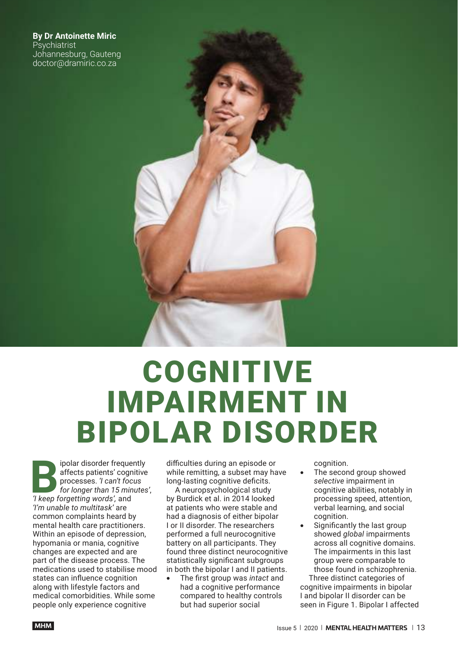**By Dr Antoinette Miric Psychiatrist** Johannesburg, Gauteng doctor@dramiric.co.za

# **COGNITIVE** IMPAIRMENT IN BIPOLAR DISORDER

**B** *'I keep forgetting words',* and ipolar disorder frequently affects patients' cognitive processes. *'I can't focus for longer than 15 minutes'*, *'I'm unable to multitask'* are common complaints heard by mental health care practitioners. Within an episode of depression, hypomania or mania, cognitive changes are expected and are part of the disease process. The medications used to stabilise mood states can influence cognition along with lifestyle factors and medical comorbidities. While some people only experience cognitive

difficulties during an episode or while remitting, a subset may have long-lasting cognitive deficits.

A neuropsychological study by Burdick et al. in 2014 looked at patients who were stable and had a diagnosis of either bipolar I or II disorder. The researchers performed a full neurocognitive battery on all participants. They found three distinct neurocognitive statistically significant subgroups in both the bipolar I and II patients.

The first group was *intact* and had a cognitive performance compared to healthy controls but had superior social

cognition.

- The second group showed *selective* impairment in cognitive abilities, notably in processing speed, attention, verbal learning, and social cognition.
- Significantly the last group showed *global* impairments across all cognitive domains. The impairments in this last group were comparable to those found in schizophrenia.

Three distinct categories of cognitive impairments in bipolar I and bipolar II disorder can be seen in Figure 1. Bipolar I affected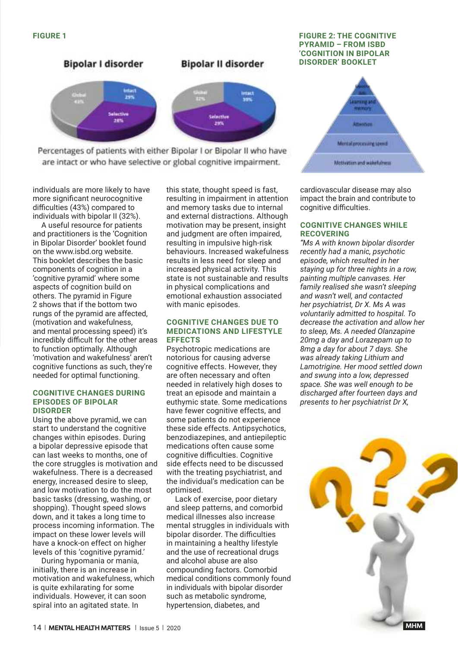

Percentages of patients with either Bipolar I or Bipolar II who have are intact or who have selective or global cognitive impairment.

individuals are more likely to have more significant neurocognitive difficulties (43%) compared to individuals with bipolar II (32%).

A useful resource for patients and practitioners is the 'Cognition in Bipolar Disorder' booklet found on the www.isbd.org website. This booklet describes the basic components of cognition in a 'cognitive pyramid' where some aspects of cognition build on others. The pyramid in Figure 2 shows that if the bottom two rungs of the pyramid are affected, (motivation and wakefulness, and mental processing speed) it's incredibly difficult for the other areas to function optimally. Although 'motivation and wakefulness' aren't cognitive functions as such, they're needed for optimal functioning.

### **COGNITIVE CHANGES DURING EPISODES OF BIPOLAR DISORDER**

Using the above pyramid, we can start to understand the cognitive changes within episodes. During a bipolar depressive episode that can last weeks to months, one of the core struggles is motivation and wakefulness. There is a decreased energy, increased desire to sleep, and low motivation to do the most basic tasks (dressing, washing, or shopping). Thought speed slows down, and it takes a long time to process incoming information. The impact on these lower levels will have a knock-on effect on higher levels of this 'cognitive pyramid.'

During hypomania or mania, initially, there is an increase in motivation and wakefulness, which is quite exhilarating for some individuals. However, it can soon spiral into an agitated state. In

this state, thought speed is fast, resulting in impairment in attention and memory tasks due to internal and external distractions. Although motivation may be present, insight and judgment are often impaired, resulting in impulsive high-risk behaviours. Increased wakefulness results in less need for sleep and increased physical activity. This state is not sustainable and results in physical complications and emotional exhaustion associated with manic episodes.

### **COGNITIVE CHANGES DUE TO MEDICATIONS AND LIFESTYLE EFFECTS**

Psychotropic medications are notorious for causing adverse cognitive effects. However, they are often necessary and often needed in relatively high doses to treat an episode and maintain a euthymic state. Some medications have fewer cognitive effects, and some patients do not experience these side effects. Antipsychotics, benzodiazepines, and antiepileptic medications often cause some cognitive difficulties. Cognitive side effects need to be discussed with the treating psychiatrist, and the individual's medication can be optimised.

Lack of exercise, poor dietary and sleep patterns, and comorbid medical illnesses also increase mental struggles in individuals with bipolar disorder. The difficulties in maintaining a healthy lifestyle and the use of recreational drugs and alcohol abuse are also compounding factors. Comorbid medical conditions commonly found in individuals with bipolar disorder such as metabolic syndrome, hypertension, diabetes, and

# **FIGURE 1 FIGURE 2: THE COGNITIVE PYRAMID – FROM ISBD 'COGNITION IN BIPOLAR DISORDER' BOOKLET**



cardiovascular disease may also impact the brain and contribute to cognitive difficulties.

# **COGNITIVE CHANGES WHILE RECOVERING**

*"Ms A with known bipolar disorder recently had a manic, psychotic episode, which resulted in her staying up for three nights in a row, painting multiple canvases. Her family realised she wasn't sleeping and wasn't well, and contacted her psychiatrist, Dr X. Ms A was voluntarily admitted to hospital. To decrease the activation and allow her to sleep, Ms. A needed Olanzapine 20mg a day and Lorazepam up to 8mg a day for about 7 days. She was already taking Lithium and Lamotrigine. Her mood settled down and swung into a low, depressed space. She was well enough to be discharged after fourteen days and presents to her psychiatrist Dr X,*